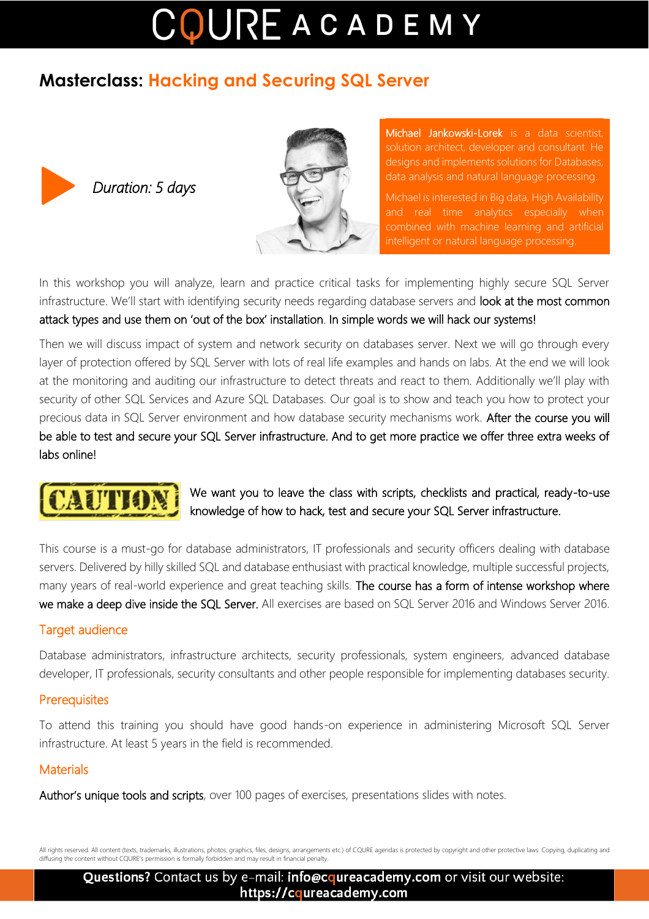# COUREACADEMY

### **Masterclass: Hacking and Securing SQL Server**



*Duration: 5 days* 



Michael Jankowski-Lorek is a data scientist, solution architect, developer and consultant. He designs and implements solutions for Databases, data analysis and natural language processing.

Michael is interested in Big data, High Availability and real time analytics especially when combined with machine learning and artificial intelligent or natural language processing.

In this workshop you will analyze, learn and practice critical tasks for implementing highly secure SQL Server infrastructure. We'll start with identifying security needs regarding database servers and look at the most common attack types and use them on 'out of the box' installation. In simple words we will hack our systems!

Then we will discuss impact of system and network security on databases server. Next we will go through every layer of protection offered by SQL Server with lots of real life examples and hands on labs. At the end we will look at the monitoring and auditing our infrastructure to detect threats and react to them. Additionally we'll play with security of other SQL Services and Azure SQL Databases. Our goal is to show and teach you how to protect your precious data in SQL Server environment and how database security mechanisms work. After the course you will be able to test and secure your SQL Server infrastructure. And to get more practice we offer three extra weeks of labs online!



We want you to leave the class with scripts, checklists and practical, ready-to-use knowledge of how to hack, test and secure your SQL Server infrastructure.

This course is a must-go for database administrators, IT professionals and security officers dealing with database servers. Delivered by hilly skilled SQL and database enthusiast with practical knowledge, multiple successful projects, many years of real-world experience and great teaching skills. The course has a form of intense workshop where we make a deep dive inside the SQL Server. All exercises are based on SQL Server 2016 and Windows Server 2016.

#### Target audience

Database administrators, infrastructure architects, security professionals, system engineers, advanced database developer, IT professionals, security consultants and other people responsible for implementing databases security.

#### **Prerequisites**

To attend this training you should have good hands-on experience in administering Microsoft SQL Server infrastructure. At least 5 years in the field is recommended.

#### **Materials**

Author's unique tools and scripts, over 100 pages of exercises, presentations slides with notes.

All rights reserved. All content (texts, trademarks, illustrations, photos, graphics, files, designs, arrangements etc.) of CQURE agendas is protected by copyright and other protective laws. Copying, duplicating and diffusing the content without CQURE's permission is formally forbidden and may result in financial penalty.